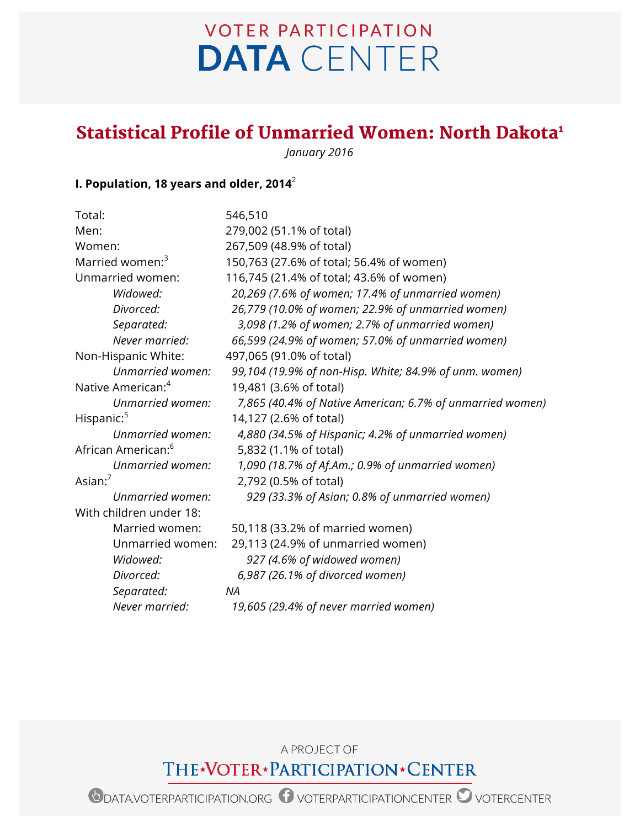# **VOTER PARTICIPATION DATA** CENTER

## Statistical Profile of Unmarried Women: North Dakota<sup>1</sup>

*January 2016*

#### **I. Population, 18 years and older, 2014**<sup>2</sup>

| Total:                         | 546,510                                                   |
|--------------------------------|-----------------------------------------------------------|
| Men:                           | 279,002 (51.1% of total)                                  |
| Women:                         | 267,509 (48.9% of total)                                  |
| Married women: <sup>3</sup>    | 150,763 (27.6% of total; 56.4% of women)                  |
| Unmarried women:               | 116,745 (21.4% of total; 43.6% of women)                  |
| Widowed:                       | 20,269 (7.6% of women; 17.4% of unmarried women)          |
| Divorced:                      | 26,779 (10.0% of women; 22.9% of unmarried women)         |
| Separated:                     | 3,098 (1.2% of women; 2.7% of unmarried women)            |
| Never married:                 | 66,599 (24.9% of women; 57.0% of unmarried women)         |
| Non-Hispanic White:            | 497,065 (91.0% of total)                                  |
| Unmarried women:               | 99,104 (19.9% of non-Hisp. White; 84.9% of unm. women)    |
| Native American: <sup>4</sup>  | 19,481 (3.6% of total)                                    |
| Unmarried women:               | 7,865 (40.4% of Native American; 6.7% of unmarried women) |
| Hispanic: <sup>5</sup>         | 14,127 (2.6% of total)                                    |
| Unmarried women:               | 4,880 (34.5% of Hispanic; 4.2% of unmarried women)        |
| African American: <sup>6</sup> | 5,832 (1.1% of total)                                     |
| Unmarried women:               | 1,090 (18.7% of Af.Am.; 0.9% of unmarried women)          |
| Asian: $7$                     | 2,792 (0.5% of total)                                     |
| Unmarried women:               | 929 (33.3% of Asian; 0.8% of unmarried women)             |
| With children under 18:        |                                                           |
| Married women:                 | 50,118 (33.2% of married women)                           |
| Unmarried women:               | 29,113 (24.9% of unmarried women)                         |
| Widowed:                       | 927 (4.6% of widowed women)                               |
| Divorced:                      | 6,987 (26.1% of divorced women)                           |
| Separated:                     | <b>NA</b>                                                 |
| Never married:                 | 19,605 (29.4% of never married women)                     |

A PROJECT OF THE\*VOTER\*PARTICIPATION\*CENTER

DATA.VOTERPARTICIPATION.ORG VOTERPARTICIPATIONCENTER VOTERCENTER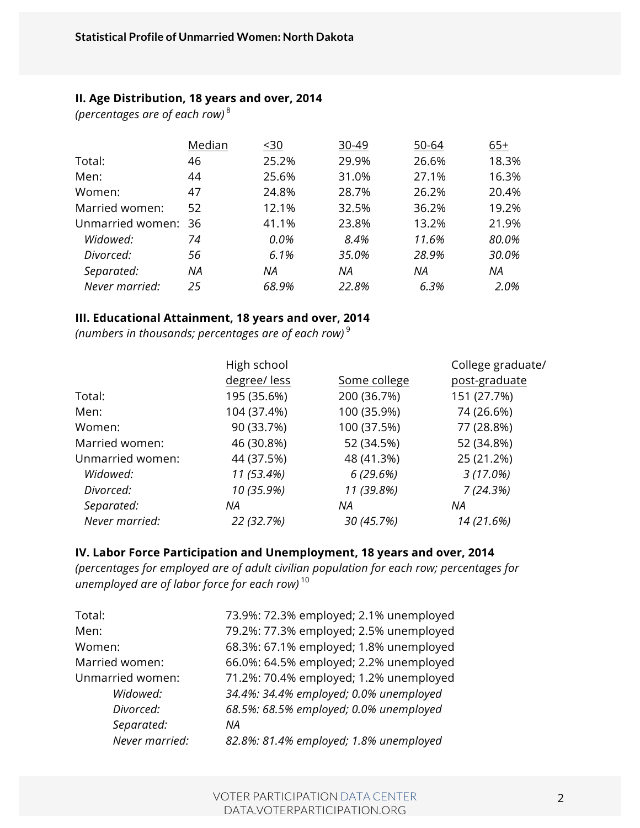#### **II. Age Distribution, 18 years and over, 2014**

*(percentages are of each row)* <sup>8</sup>

|                  | Median | $30$  | 30-49 | 50-64 | $65+$ |
|------------------|--------|-------|-------|-------|-------|
| Total:           | 46     | 25.2% | 29.9% | 26.6% | 18.3% |
| Men:             | 44     | 25.6% | 31.0% | 27.1% | 16.3% |
| Women:           | 47     | 24.8% | 28.7% | 26.2% | 20.4% |
| Married women:   | 52     | 12.1% | 32.5% | 36.2% | 19.2% |
| Unmarried women: | 36     | 41.1% | 23.8% | 13.2% | 21.9% |
| Widowed:         | 74     | 0.0%  | 8.4%  | 11.6% | 80.0% |
| Divorced:        | 56     | 6.1%  | 35.0% | 28.9% | 30.0% |
| Separated:       | ΝA     | ΝA    | ΝA    | ΝA    | ΝA    |
| Never married:   | 25     | 68.9% | 22.8% | 6.3%  | 2.0%  |

#### **III. Educational Attainment, 18 years and over, 2014**

*(numbers in thousands; percentages are of each row)* <sup>9</sup>

| High school |              | College graduate/ |
|-------------|--------------|-------------------|
| degree/less | Some college | post-graduate     |
| 195 (35.6%) | 200 (36.7%)  | 151 (27.7%)       |
| 104 (37.4%) | 100 (35.9%)  | 74 (26.6%)        |
| 90 (33.7%)  | 100 (37.5%)  | 77 (28.8%)        |
| 46 (30.8%)  | 52 (34.5%)   | 52 (34.8%)        |
| 44 (37.5%)  | 48 (41.3%)   | 25 (21.2%)        |
| 11 (53.4%)  | 6(29.6%)     | $3(17.0\%)$       |
| 10 (35.9%)  | 11 (39.8%)   | 7(24.3%)          |
| ΝA          | ΝA           | ΝA                |
| 22 (32.7%)  | 30 (45.7%)   | 14 (21.6%)        |
|             |              |                   |

#### **IV. Labor Force Participation and Unemployment, 18 years and over, 2014**

*(percentages for employed are of adult civilian population for each row; percentages for unemployed are of labor force for each row)* <sup>10</sup>

| Total:           | 73.9%: 72.3% employed; 2.1% unemployed |
|------------------|----------------------------------------|
| Men:             | 79.2%: 77.3% employed; 2.5% unemployed |
| Women:           | 68.3%: 67.1% employed; 1.8% unemployed |
| Married women:   | 66.0%: 64.5% employed; 2.2% unemployed |
| Unmarried women: | 71.2%: 70.4% employed; 1.2% unemployed |
| Widowed:         | 34.4%: 34.4% employed; 0.0% unemployed |
| Divorced:        | 68.5%: 68.5% employed; 0.0% unemployed |
| Separated:       | ΝA                                     |
| Never married:   | 82.8%: 81.4% employed; 1.8% unemployed |
|                  |                                        |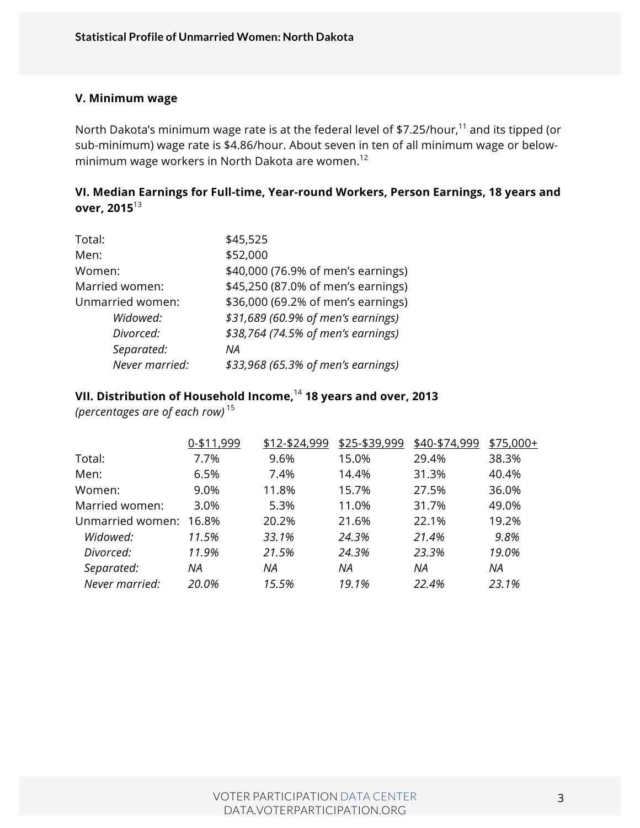#### **V. Minimum wage**

North Dakota's minimum wage rate is at the federal level of \$7.25/hour,<sup>11</sup> and its tipped (or sub-minimum) wage rate is \$4.86/hour. About seven in ten of all minimum wage or belowminimum wage workers in North Dakota are women.12

#### **VI. Median Earnings for Full-time, Year-round Workers, Person Earnings, 18 years and over, 2015**<sup>13</sup>

| Total:           | \$45,525                           |
|------------------|------------------------------------|
| Men:             | \$52,000                           |
| Women:           | \$40,000 (76.9% of men's earnings) |
| Married women:   | \$45,250 (87.0% of men's earnings) |
| Unmarried women: | \$36,000 (69.2% of men's earnings) |
| Widowed:         | \$31,689 (60.9% of men's earnings) |
| Divorced:        | \$38,764 (74.5% of men's earnings) |
| Separated:       | ΝA                                 |
| Never married:   | \$33,968 (65.3% of men's earnings) |
|                  |                                    |

#### **VII. Distribution of Household Income,**<sup>14</sup> **18 years and over, 2013**

*(percentages are of each row)* <sup>15</sup>

|                        | 0-\$11,999 | \$12-\$24,999 | \$25-\$39,999 | \$40-\$74,999 | \$75,000+ |
|------------------------|------------|---------------|---------------|---------------|-----------|
| Total:                 | 7.7%       | 9.6%          | 15.0%         | 29.4%         | 38.3%     |
| Men:                   | 6.5%       | 7.4%          | 14.4%         | 31.3%         | 40.4%     |
| Women:                 | 9.0%       | 11.8%         | 15.7%         | 27.5%         | 36.0%     |
| Married women:         | 3.0%       | 5.3%          | 11.0%         | 31.7%         | 49.0%     |
| Unmarried women: 16.8% |            | 20.2%         | 21.6%         | 22.1%         | 19.2%     |
| Widowed:               | 11.5%      | 33.1%         | 24.3%         | 21.4%         | 9.8%      |
| Divorced:              | 11.9%      | 21.5%         | 24.3%         | 23.3%         | 19.0%     |
| Separated:             | ΝA         | ΝA            | ΝA            | ΝA            | ΝA        |
| Never married:         | 20.0%      | 15.5%         | 19.1%         | 22.4%         | 23.1%     |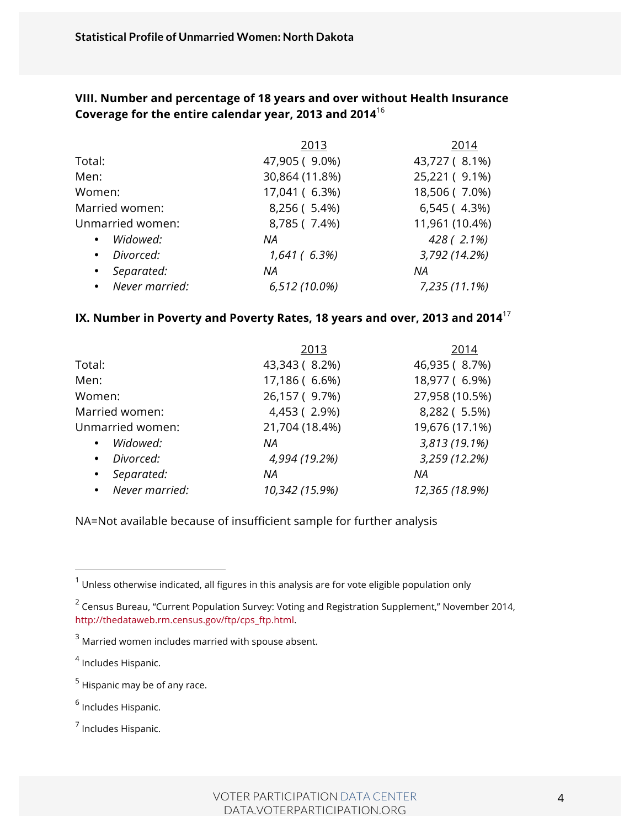#### **VIII. Number and percentage of 18 years and over without Health Insurance Coverage for the entire calendar year, 2013 and 2014**<sup>16</sup>

|                             | 2013           | 2014           |
|-----------------------------|----------------|----------------|
| Total:                      | 47,905 (9.0%)  | 43,727 (8.1%)  |
| Men:                        | 30,864 (11.8%) | 25,221 ( 9.1%) |
| Women:                      | 17,041 (6.3%)  | 18,506 (7.0%)  |
| Married women:              | 8,256 (5.4%)   | 6,545 (4.3%)   |
| Unmarried women:            | 8,785 (7.4%)   | 11,961 (10.4%) |
| Widowed:<br>$\bullet$       | ΝA             | 428 (2.1%)     |
| Divorced:<br>$\bullet$      | 1,641(6.3%)    | 3,792 (14.2%)  |
| Separated:<br>$\bullet$     | ΝA             | ΝA             |
| Never married:<br>$\bullet$ | 6,512 (10.0%)  | 7,235 (11.1%)  |

### **IX. Number in Poverty and Poverty Rates, 18 years and over, 2013 and 2014**<sup>17</sup>

|                             | 2013           | 2014           |
|-----------------------------|----------------|----------------|
| Total:                      | 43,343 (8.2%)  | 46,935 (8.7%)  |
| Men:                        | 17,186 (6.6%)  | 18,977 (6.9%)  |
| Women:                      | 26,157 (9.7%)  | 27,958 (10.5%) |
| Married women:              | 4,453 (2.9%)   | 8,282 (5.5%)   |
| Unmarried women:            | 21,704 (18.4%) | 19,676 (17.1%) |
| Widowed:<br>$\bullet$       | ΝA             | 3,813 (19.1%)  |
| Divorced:<br>$\bullet$      | 4,994 (19.2%)  | 3,259 (12.2%)  |
| Separated:<br>$\bullet$     | ΝA             | ΝA             |
| Never married:<br>$\bullet$ | 10,342 (15.9%) | 12,365 (18.9%) |

NA=Not available because of insufficient sample for further analysis

 $3$  Married women includes married with spouse absent.

 $<sup>5</sup>$  Hispanic may be of any race.</sup>

 $1$  Unless otherwise indicated, all figures in this analysis are for vote eligible population only

 $2$  Census Bureau, "Current Population Survey: Voting and Registration Supplement," November 2014, http://thedataweb.rm.census.gov/ftp/cps\_ftp.html.

<sup>4</sup> Includes Hispanic.

<sup>6</sup> Includes Hispanic.

<sup>7</sup> Includes Hispanic.